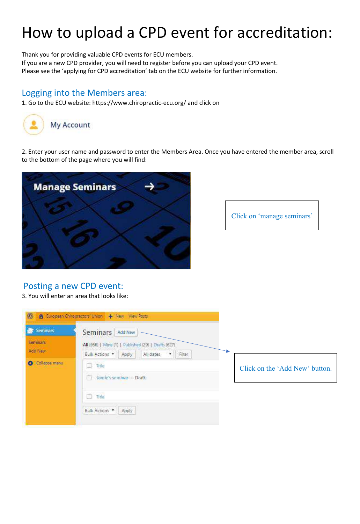## How to upload a CPD event for accreditation:

Thank you for providing valuable CPD events for ECU members. If you are a new CPD provider, you will need to register before you can upload your CPD event. Please see the 'applying for CPD accreditation' tab on the ECU website for further information.

## Logging into the Members area:

1. Go to the ECU website: https://www.chiropractic-ecu.org/ and click on



2. Enter your user name and password to enter the Members Area. Once you have entered the member area, scroll to the bottom of the page where you will find:



Click on 'manage seminars'

## Posting a new CPD event:

3. You will enter an area that looks like:

| <b>Seminars</b> | <b>Seminars</b>                                      | Add New |           |                                |  |
|-----------------|------------------------------------------------------|---------|-----------|--------------------------------|--|
| <b>Seminars</b> | All (656)   Mine (1)   Published (29)   Drafts (627) |         |           |                                |  |
| Add New         | Bulk Actions <b>T</b> Apply                          |         | All dates | Filter                         |  |
| Collapse menu   | $\Box$ Title                                         |         |           | Click on the 'Add New' button. |  |
|                 | Jamie's seminar - Draft                              |         |           |                                |  |
|                 | $\Box$ Title                                         |         |           |                                |  |
|                 | Bulk Actions                                         | Apply   |           |                                |  |